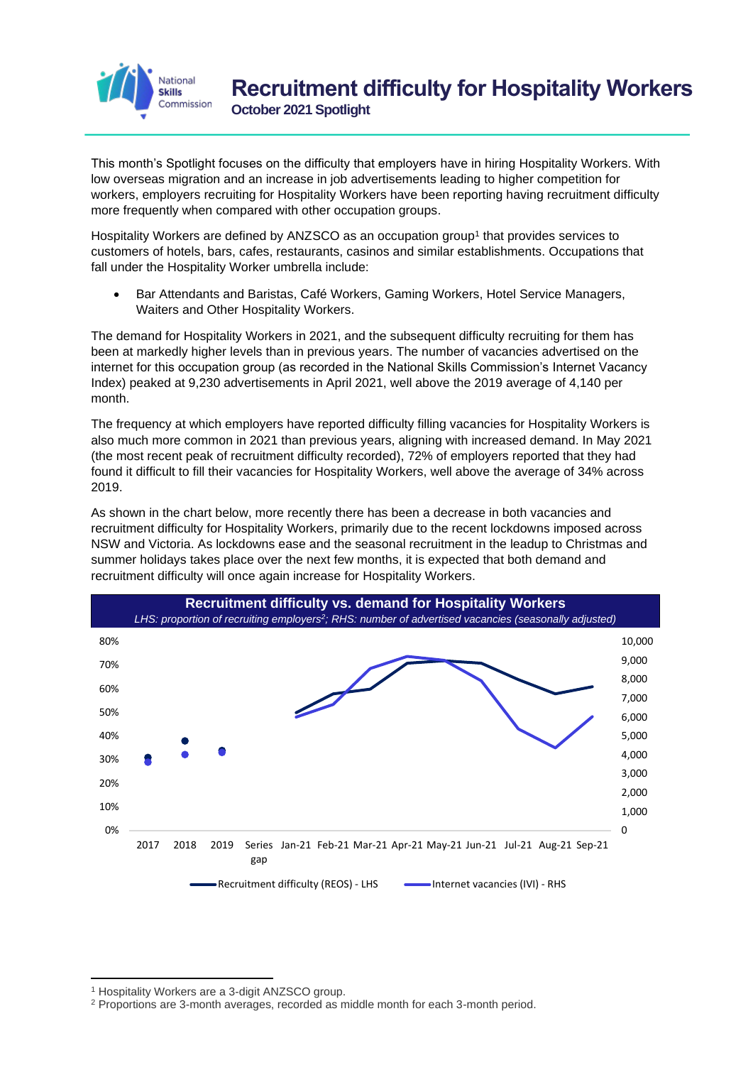

This month's Spotlight focuses on the difficulty that employers have in hiring Hospitality Workers. With low overseas migration and an increase in job advertisements leading to higher competition for workers, employers recruiting for Hospitality Workers have been reporting having recruitment difficulty more frequently when compared with other occupation groups.

Hospitality Workers are defined by ANZSCO as an occupation group<sup>1</sup> that provides services to customers of hotels, bars, cafes, restaurants, casinos and similar establishments. Occupations that fall under the Hospitality Worker umbrella include:

• Bar Attendants and Baristas, Café Workers, Gaming Workers, Hotel Service Managers, Waiters and Other Hospitality Workers.

The demand for Hospitality Workers in 2021, and the subsequent difficulty recruiting for them has been at markedly higher levels than in previous years. The number of vacancies advertised on the internet for this occupation group (as recorded in the National Skills Commission's Internet Vacancy Index) peaked at 9,230 advertisements in April 2021, well above the 2019 average of 4,140 per month.

The frequency at which employers have reported difficulty filling vacancies for Hospitality Workers is also much more common in 2021 than previous years, aligning with increased demand. In May 2021 (the most recent peak of recruitment difficulty recorded), 72% of employers reported that they had found it difficult to fill their vacancies for Hospitality Workers, well above the average of 34% across 2019.

As shown in the chart below, more recently there has been a decrease in both vacancies and recruitment difficulty for Hospitality Workers, primarily due to the recent lockdowns imposed across NSW and Victoria. As lockdowns ease and the seasonal recruitment in the leadup to Christmas and summer holidays takes place over the next few months, it is expected that both demand and recruitment difficulty will once again increase for Hospitality Workers.



<sup>1</sup> Hospitality Workers are a 3-digit ANZSCO group.

<sup>2</sup> Proportions are 3-month averages, recorded as middle month for each 3-month period.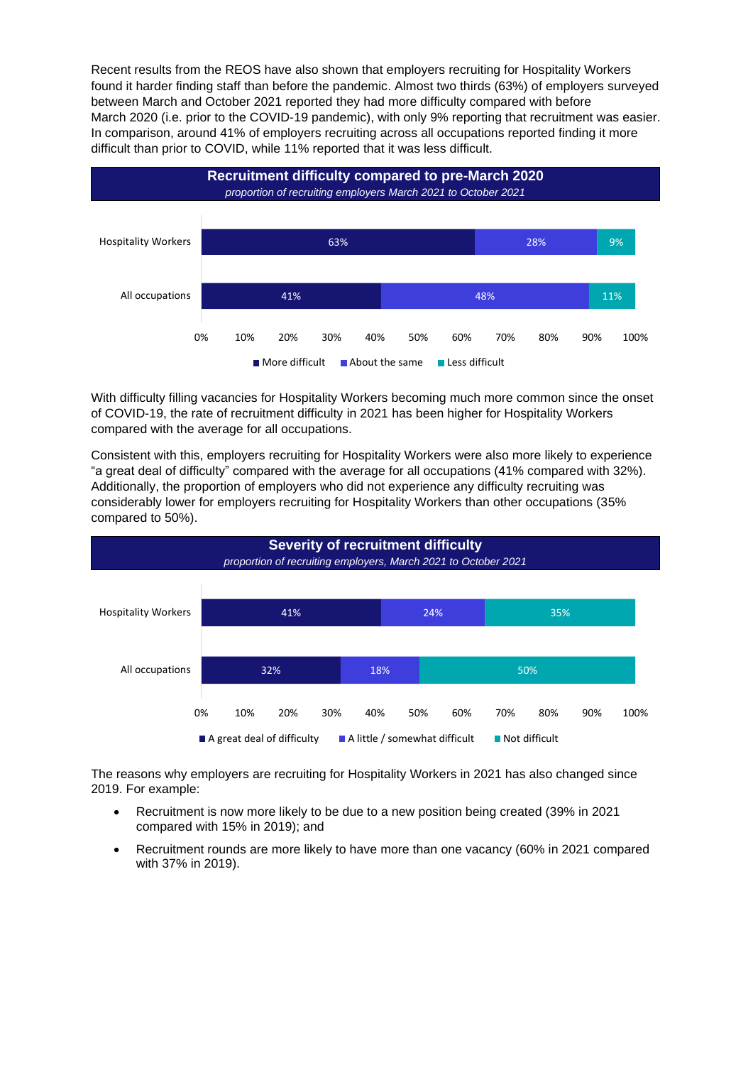Recent results from the REOS have also shown that employers recruiting for Hospitality Workers found it harder finding staff than before the pandemic. Almost two thirds (63%) of employers surveyed between March and October 2021 reported they had more difficulty compared with before March 2020 (i.e. prior to the COVID-19 pandemic), with only 9% reporting that recruitment was easier. In comparison, around 41% of employers recruiting across all occupations reported finding it more difficult than prior to COVID, while 11% reported that it was less difficult.



With difficulty filling vacancies for Hospitality Workers becoming much more common since the onset of COVID-19, the rate of recruitment difficulty in 2021 has been higher for Hospitality Workers compared with the average for all occupations.

Consistent with this, employers recruiting for Hospitality Workers were also more likely to experience "a great deal of difficulty" compared with the average for all occupations (41% compared with 32%). Additionally, the proportion of employers who did not experience any difficulty recruiting was considerably lower for employers recruiting for Hospitality Workers than other occupations (35% compared to 50%).



The reasons why employers are recruiting for Hospitality Workers in 2021 has also changed since 2019. For example:

- Recruitment is now more likely to be due to a new position being created (39% in 2021 compared with 15% in 2019); and
- Recruitment rounds are more likely to have more than one vacancy (60% in 2021 compared with 37% in 2019).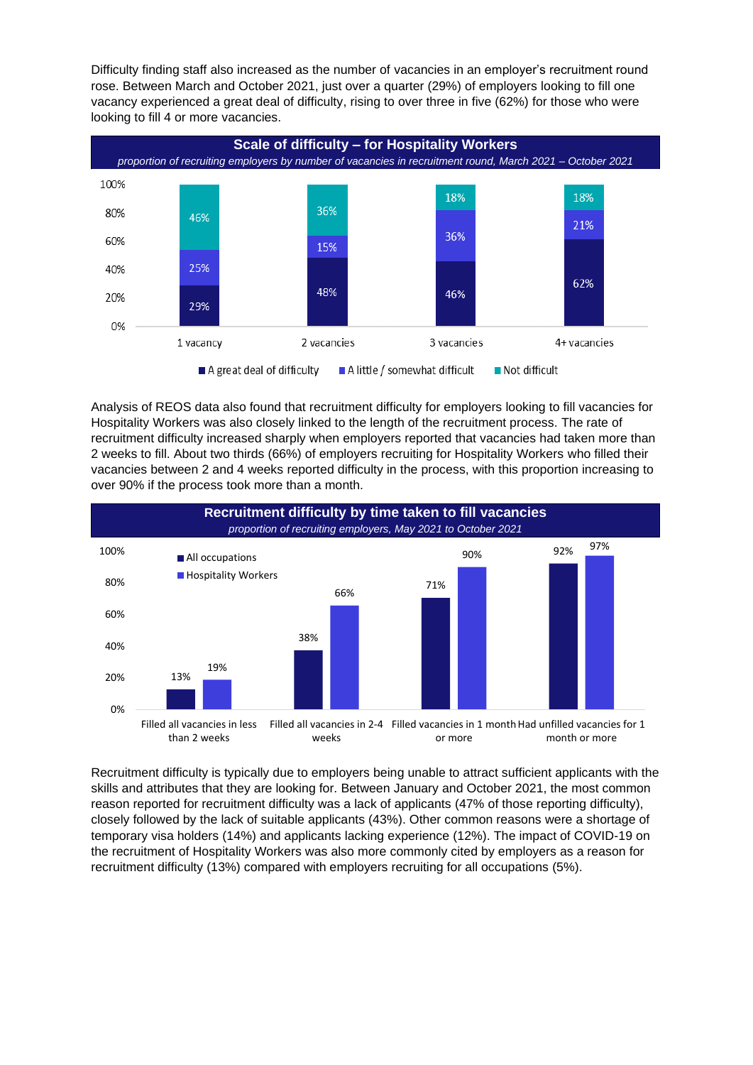Difficulty finding staff also increased as the number of vacancies in an employer's recruitment round rose. Between March and October 2021, just over a quarter (29%) of employers looking to fill one vacancy experienced a great deal of difficulty, rising to over three in five (62%) for those who were looking to fill 4 or more vacancies.



Analysis of REOS data also found that recruitment difficulty for employers looking to fill vacancies for Hospitality Workers was also closely linked to the length of the recruitment process. The rate of recruitment difficulty increased sharply when employers reported that vacancies had taken more than 2 weeks to fill. About two thirds (66%) of employers recruiting for Hospitality Workers who filled their vacancies between 2 and 4 weeks reported difficulty in the process, with this proportion increasing to over 90% if the process took more than a month.



Recruitment difficulty is typically due to employers being unable to attract sufficient applicants with the skills and attributes that they are looking for. Between January and October 2021, the most common reason reported for recruitment difficulty was a lack of applicants (47% of those reporting difficulty), closely followed by the lack of suitable applicants (43%). Other common reasons were a shortage of temporary visa holders (14%) and applicants lacking experience (12%). The impact of COVID-19 on the recruitment of Hospitality Workers was also more commonly cited by employers as a reason for recruitment difficulty (13%) compared with employers recruiting for all occupations (5%).